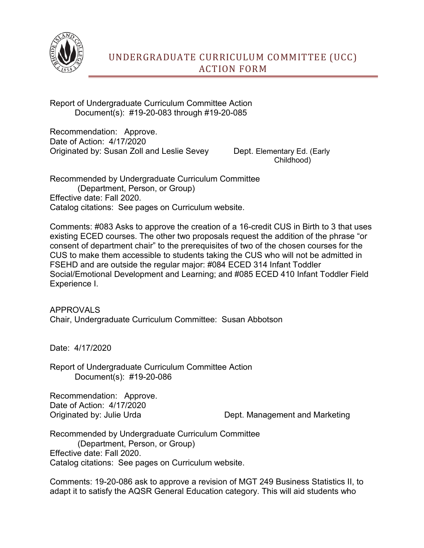

Report of Undergraduate Curriculum Committee Action Document(s): #19-20-083 through #19-20-085

Recommendation: Approve. Date of Action: 4/17/2020 Originated by: Susan Zoll and Leslie Sevey Dept. Elementary Ed. (Early

Childhood)

Recommended by Undergraduate Curriculum Committee (Department, Person, or Group) Effective date: Fall 2020. Catalog citations: See pages on Curriculum website.

Comments: #083 Asks to approve the creation of a 16-credit CUS in Birth to 3 that uses existing ECED courses. The other two proposals request the addition of the phrase "or consent of department chair" to the prerequisites of two of the chosen courses for the CUS to make them accessible to students taking the CUS who will not be admitted in FSEHD and are outside the regular major: #084 ECED 314 Infant Toddler Social/Emotional Development and Learning; and #085 ECED 410 Infant Toddler Field Experience I.

APPROVALS Chair, Undergraduate Curriculum Committee: Susan Abbotson

Date: 4/17/2020

Report of Undergraduate Curriculum Committee Action Document(s): #19-20-086

Recommendation: Approve. Date of Action: 4/17/2020

Originated by: Julie Urda Dept. Management and Marketing

Recommended by Undergraduate Curriculum Committee (Department, Person, or Group) Effective date: Fall 2020. Catalog citations: See pages on Curriculum website.

Comments: 19-20-086 ask to approve a revision of MGT 249 Business Statistics II, to adapt it to satisfy the AQSR General Education category. This will aid students who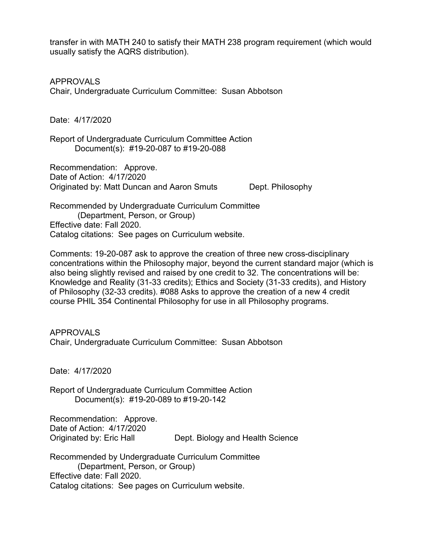transfer in with MATH 240 to satisfy their MATH 238 program requirement (which would usually satisfy the AQRS distribution).

APPROVALS Chair, Undergraduate Curriculum Committee: Susan Abbotson

Date: 4/17/2020

Report of Undergraduate Curriculum Committee Action Document(s): #19-20-087 to #19-20-088

Recommendation: Approve. Date of Action: 4/17/2020 Originated by: Matt Duncan and Aaron Smuts Dept. Philosophy

Recommended by Undergraduate Curriculum Committee (Department, Person, or Group) Effective date: Fall 2020. Catalog citations: See pages on Curriculum website.

Comments: 19-20-087 ask to approve the creation of three new cross-disciplinary concentrations within the Philosophy major, beyond the current standard major (which is also being slightly revised and raised by one credit to 32. The concentrations will be: Knowledge and Reality (31-33 credits); Ethics and Society (31-33 credits), and History of Philosophy (32-33 credits). #088 Asks to approve the creation of a new 4 credit course PHIL 354 Continental Philosophy for use in all Philosophy programs.

APPROVALS Chair, Undergraduate Curriculum Committee: Susan Abbotson

Date: 4/17/2020

Report of Undergraduate Curriculum Committee Action Document(s): #19-20-089 to #19-20-142

Recommendation: Approve. Date of Action: 4/17/2020 Originated by: Eric Hall Dept. Biology and Health Science

Recommended by Undergraduate Curriculum Committee (Department, Person, or Group) Effective date: Fall 2020. Catalog citations: See pages on Curriculum website.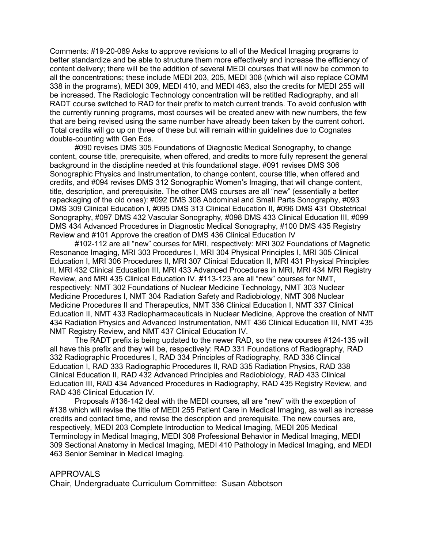Comments: #19-20-089 Asks to approve revisions to all of the Medical Imaging programs to better standardize and be able to structure them more effectively and increase the efficiency of content delivery; there will be the addition of several MEDI courses that will now be common to all the concentrations; these include MEDI 203, 205, MEDI 308 (which will also replace COMM 338 in the programs), MEDI 309, MEDI 410, and MEDI 463, also the credits for MEDI 255 will be increased. The Radiologic Technology concentration will be retitled Radiography, and all RADT course switched to RAD for their prefix to match current trends. To avoid confusion with the currently running programs, most courses will be created anew with new numbers, the few that are being revised using the same number have already been taken by the current cohort. Total credits will go up on three of these but will remain within guidelines due to Cognates double-counting with Gen Eds.

#090 revises DMS 305 Foundations of Diagnostic Medical Sonography, to change content, course title, prerequisite, when offered, and credits to more fully represent the general background in the discipline needed at this foundational stage. #091 revises DMS 306 Sonographic Physics and Instrumentation, to change content, course title, when offered and credits, and #094 revises DMS 312 Sonographic Women's Imaging, that will change content, title, description, and prerequisite. The other DMS courses are all "new" (essentially a better repackaging of the old ones): #092 DMS 308 Abdominal and Small Parts Sonography, #093 DMS 309 Clinical Education I, #095 DMS 313 Clinical Education II, #096 DMS 431 Obstetrical Sonography, #097 DMS 432 Vascular Sonography, #098 DMS 433 Clinical Education III, #099 DMS 434 Advanced Procedures in Diagnostic Medical Sonography, #100 DMS 435 Registry Review and #101 Approve the creation of DMS 436 Clinical Education IV

#102-112 are all "new" courses for MRI, respectively: MRI 302 Foundations of Magnetic Resonance Imaging, MRI 303 Procedures I, MRI 304 Physical Principles I, MRI 305 Clinical Education I, MRI 306 Procedures II, MRI 307 Clinical Education II, MRI 431 Physical Principles II, MRI 432 Clinical Education III, MRI 433 Advanced Procedures in MRI, MRI 434 MRI Registry Review, and MRI 435 Clinical Education IV. #113-123 are all "new" courses for NMT, respectively: NMT 302 Foundations of Nuclear Medicine Technology, NMT 303 Nuclear Medicine Procedures I, NMT 304 Radiation Safety and Radiobiology, NMT 306 Nuclear Medicine Procedures II and Therapeutics, NMT 336 Clinical Education I, NMT 337 Clinical Education II, NMT 433 Radiopharmaceuticals in Nuclear Medicine, Approve the creation of NMT 434 Radiation Physics and Advanced Instrumentation, NMT 436 Clinical Education III, NMT 435 NMT Registry Review, and NMT 437 Clinical Education IV.

The RADT prefix is being updated to the newer RAD, so the new courses #124-135 will all have this prefix and they will be, respectively: RAD 331 Foundations of Radiography, RAD 332 Radiographic Procedures I, RAD 334 Principles of Radiography, RAD 336 Clinical Education I, RAD 333 Radiographic Procedures II, RAD 335 Radiation Physics, RAD 338 Clinical Education II, RAD 432 Advanced Principles and Radiobiology, RAD 433 Clinical Education III, RAD 434 Advanced Procedures in Radiography, RAD 435 Registry Review, and RAD 436 Clinical Education IV.

Proposals #136-142 deal with the MEDI courses, all are "new" with the exception of #138 which will revise the title of MEDI 255 Patient Care in Medical Imaging, as well as increase credits and contact time, and revise the description and prerequisite. The new courses are, respectively, MEDI 203 Complete Introduction to Medical Imaging, MEDI 205 Medical Terminology in Medical Imaging, MEDI 308 Professional Behavior in Medical Imaging, MEDI 309 Sectional Anatomy in Medical Imaging, MEDI 410 Pathology in Medical Imaging, and MEDI 463 Senior Seminar in Medical Imaging.

## APPROVALS

Chair, Undergraduate Curriculum Committee: Susan Abbotson